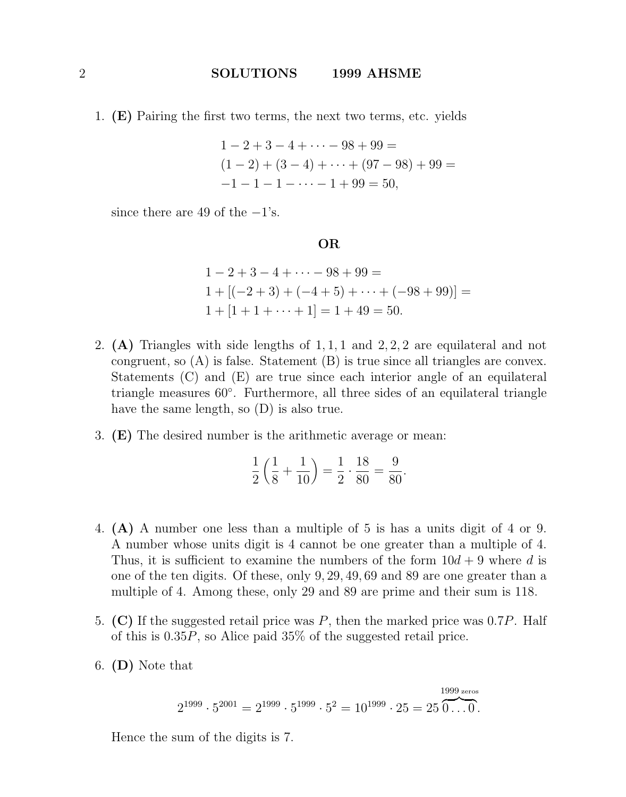1. (E) Pairing the first two terms, the next two terms, etc. yields

$$
1 - 2 + 3 - 4 + \dots - 98 + 99 =
$$
  
(1 - 2) + (3 - 4) + \dots + (97 - 98) + 99 =  
-1 - 1 - 1 - \dots - 1 + 99 = 50,

since there are 49 of the  $-1$ 's.

OR

$$
1 - 2 + 3 - 4 + \dots - 98 + 99 =
$$
  
\n
$$
1 + [(-2 + 3) + (-4 + 5) + \dots + (-98 + 99)] =
$$
  
\n
$$
1 + [1 + 1 + \dots + 1] = 1 + 49 = 50.
$$

- 2.  $(A)$  Triangles with side lengths of 1, 1, 1 and 2, 2, 2 are equilateral and not congruent, so  $(A)$  is false. Statement  $(B)$  is true since all triangles are convex. Statements (C) and (E) are true since each interior angle of an equilateral triangle measures 60◦ . Furthermore, all three sides of an equilateral triangle have the same length, so (D) is also true.
- 3. (E) The desired number is the arithmetic average or mean:

$$
\frac{1}{2}\left(\frac{1}{8} + \frac{1}{10}\right) = \frac{1}{2} \cdot \frac{18}{80} = \frac{9}{80}.
$$

- 4. (A) A number one less than a multiple of 5 is has a units digit of 4 or 9. A number whose units digit is 4 cannot be one greater than a multiple of 4. Thus, it is sufficient to examine the numbers of the form  $10d + 9$  where d is one of the ten digits. Of these, only 9, 29, 49, 69 and 89 are one greater than a multiple of 4. Among these, only 29 and 89 are prime and their sum is 118.
- 5. (C) If the suggested retail price was  $P$ , then the marked price was 0.7P. Half of this is 0.35P, so Alice paid 35% of the suggested retail price.
- 6. (D) Note that

$$
2^{1999} \cdot 5^{2001} = 2^{1999} \cdot 5^{1999} \cdot 5^2 = 10^{1999} \cdot 25 = 25 \overbrace{0 \dots 0}^{1999 \text{ zeros}}
$$

Hence the sum of the digits is 7.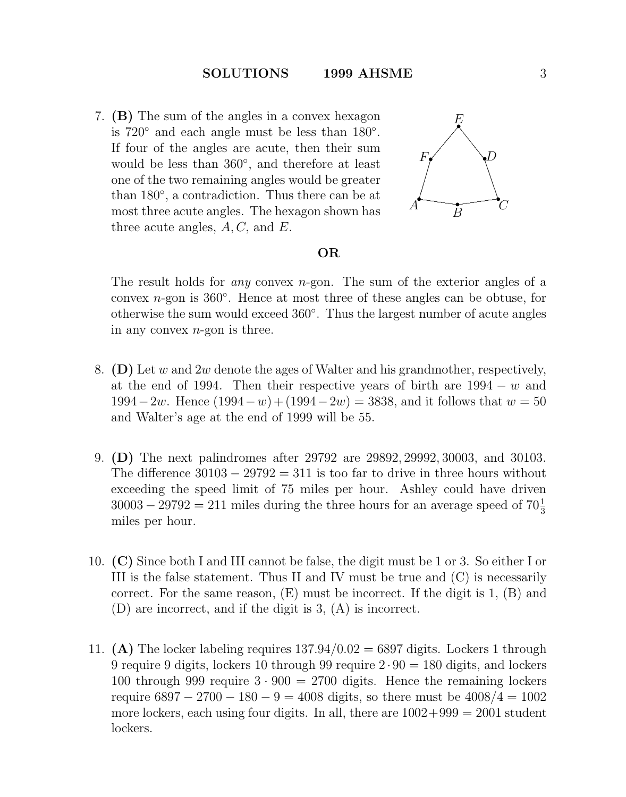7. (B) The sum of the angles in a convex hexagon is  $720°$  and each angle must be less than  $180°$ . If four of the angles are acute, then their sum would be less than 360◦ , and therefore at least one of the two remaining angles would be greater than 180◦ , a contradiction. Thus there can be at most three acute angles. The hexagon shown has three acute angles,  $A, C$ , and  $E$ .



# OR

The result holds for *any* convex n-gon. The sum of the exterior angles of a convex  $n$ -gon is 360 $^{\circ}$ . Hence at most three of these angles can be obtuse, for otherwise the sum would exceed 360◦ . Thus the largest number of acute angles in any convex  $n$ -gon is three.

- 8. (D) Let w and  $2w$  denote the ages of Walter and his grandmother, respectively, at the end of 1994. Then their respective years of birth are  $1994 - w$  and  $1994-2w$ . Hence  $(1994-w)+(1994-2w) = 3838$ , and it follows that  $w = 50$ and Walter's age at the end of 1999 will be 55.
- 9. (D) The next palindromes after 29792 are 29892, 29992, 30003, and 30103. The difference  $30103 - 29792 = 311$  is too far to drive in three hours without exceeding the speed limit of 75 miles per hour. Ashley could have driven  $30003 - 29792 = 211$  miles during the three hours for an average speed of  $70\frac{1}{3}$ miles per hour.
- 10. (C) Since both I and III cannot be false, the digit must be 1 or 3. So either I or III is the false statement. Thus II and IV must be true and (C) is necessarily correct. For the same reason,  $(E)$  must be incorrect. If the digit is 1,  $(B)$  and (D) are incorrect, and if the digit is 3, (A) is incorrect.
- 11. (A) The locker labeling requires  $137.94/0.02 = 6897$  digits. Lockers 1 through 9 require 9 digits, lockers 10 through 99 require  $2 \cdot 90 = 180$  digits, and lockers 100 through 999 require  $3 \cdot 900 = 2700$  digits. Hence the remaining lockers require  $6897 - 2700 - 180 - 9 = 4008$  digits, so there must be  $4008/4 = 1002$ more lockers, each using four digits. In all, there are  $1002+999 = 2001$  student lockers.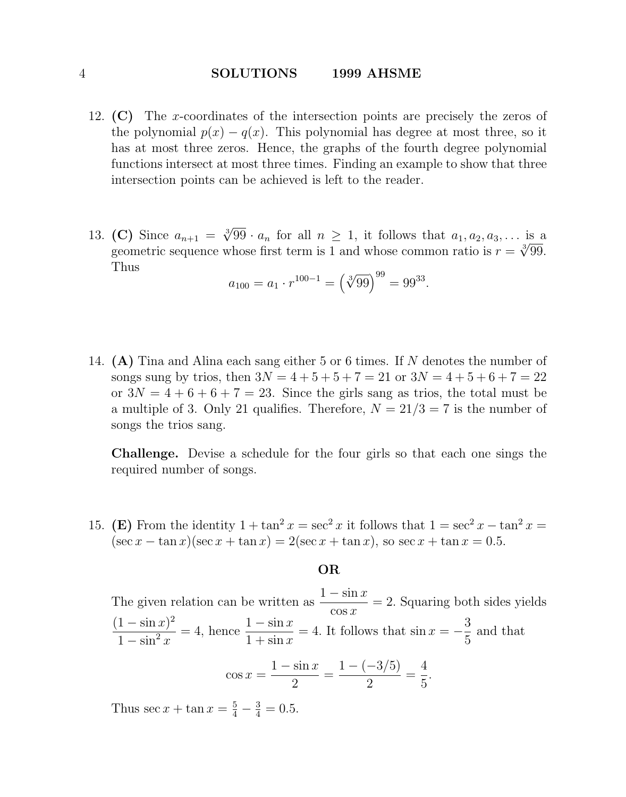- 12. (C) The x-coordinates of the intersection points are precisely the zeros of the polynomial  $p(x) - q(x)$ . This polynomial has degree at most three, so it has at most three zeros. Hence, the graphs of the fourth degree polynomial functions intersect at most three times. Finding an example to show that three intersection points can be achieved is left to the reader.
- 13. (C) Since  $a_{n+1} = \sqrt[3]{99} \cdot a_n$  for all  $n \ge 1$ , it follows that  $a_1, a_2, a_3, \ldots$  is a compatible sequence whose first term is 1 and whose common ratio is  $x = \sqrt[3]{90}$ . geometric sequence whose first term is 1 and whose common ratio is  $r = \sqrt[3]{99}$ . Thus

$$
a_{100} = a_1 \cdot r^{100-1} = (\sqrt[3]{99})^{99} = 99^{33}.
$$

14. (A) Tina and Alina each sang either 5 or 6 times. If N denotes the number of songs sung by trios, then  $3N = 4 + 5 + 5 + 7 = 21$  or  $3N = 4 + 5 + 6 + 7 = 22$ or  $3N = 4 + 6 + 6 + 7 = 23$ . Since the girls sang as trios, the total must be a multiple of 3. Only 21 qualifies. Therefore,  $N = 21/3 = 7$  is the number of songs the trios sang.

Challenge. Devise a schedule for the four girls so that each one sings the required number of songs.

15. (E) From the identity  $1 + \tan^2 x = \sec^2 x$  it follows that  $1 = \sec^2 x - \tan^2 x =$  $(\sec x - \tan x)(\sec x + \tan x) = 2(\sec x + \tan x)$ , so  $\sec x + \tan x = 0.5$ .

# OR

The given relation can be written as  $\frac{1 - \sin x}{\cos x}$  $\cos x$  $= 2$ . Squaring both sides yields  $(1 - \sin x)^2$  $1 - \sin^2 x$  $= 4$ , hence  $\frac{1 - \sin x}{1 + x}$  $1 + \sin x$  $= 4$ . It follows that  $\sin x = -\frac{3}{5}$ 5 and that

$$
\cos x = \frac{1 - \sin x}{2} = \frac{1 - (-3/5)}{2} = \frac{4}{5}.
$$

Thus  $\sec x + \tan x = \frac{5}{4} - \frac{3}{4} = 0.5$ .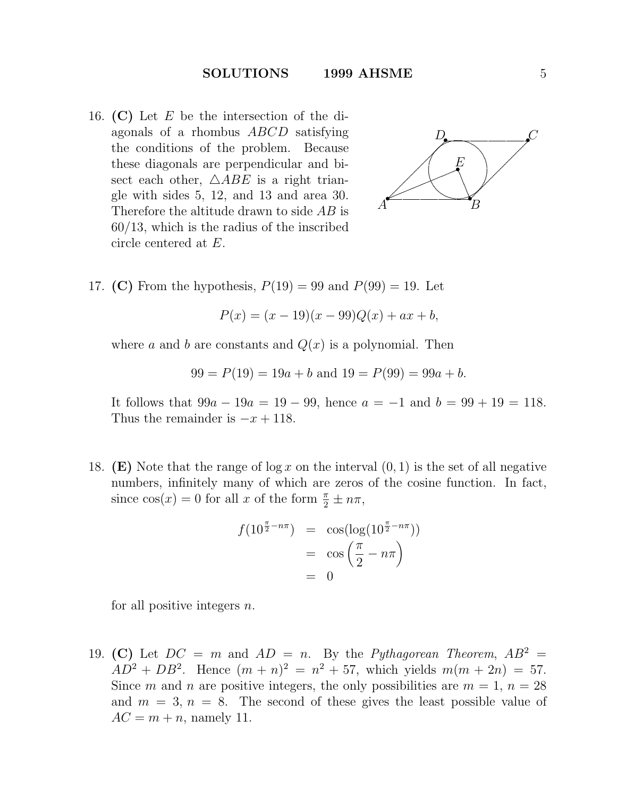16. (C) Let  $E$  be the intersection of the diagonals of a rhombus ABCD satisfying the conditions of the problem. Because these diagonals are perpendicular and bisect each other,  $\triangle ABE$  is a right triangle with sides 5, 12, and 13 and area 30. Therefore the altitude drawn to side AB is 60/13, which is the radius of the inscribed circle centered at E.



17. (C) From the hypothesis,  $P(19) = 99$  and  $P(99) = 19$ . Let

$$
P(x) = (x - 19)(x - 99)Q(x) + ax + b,
$$

where a and b are constants and  $Q(x)$  is a polynomial. Then

$$
99 = P(19) = 19a + b
$$
 and 
$$
19 = P(99) = 99a + b
$$
.

It follows that  $99a - 19a = 19 - 99$ , hence  $a = -1$  and  $b = 99 + 19 = 118$ . Thus the remainder is  $-x + 118$ .

18. **(E)** Note that the range of  $\log x$  on the interval  $(0, 1)$  is the set of all negative numbers, infinitely many of which are zeros of the cosine function. In fact, since  $cos(x) = 0$  for all x of the form  $\frac{\pi}{2} \pm n\pi$ ,

$$
f(10^{\frac{\pi}{2} - n\pi}) = \cos(\log(10^{\frac{\pi}{2} - n\pi}))
$$

$$
= \cos\left(\frac{\pi}{2} - n\pi\right)
$$

$$
= 0
$$

for all positive integers  $n$ .

19. (C) Let  $DC = m$  and  $AD = n$ . By the *Pythagorean Theorem*,  $AB^2 =$  $AD^2 + DB^2$ . Hence  $(m+n)^2 = n^2 + 57$ , which yields  $m(m+2n) = 57$ . Since m and n are positive integers, the only possibilities are  $m = 1, n = 28$ and  $m = 3$ ,  $n = 8$ . The second of these gives the least possible value of  $AC = m + n$ , namely 11.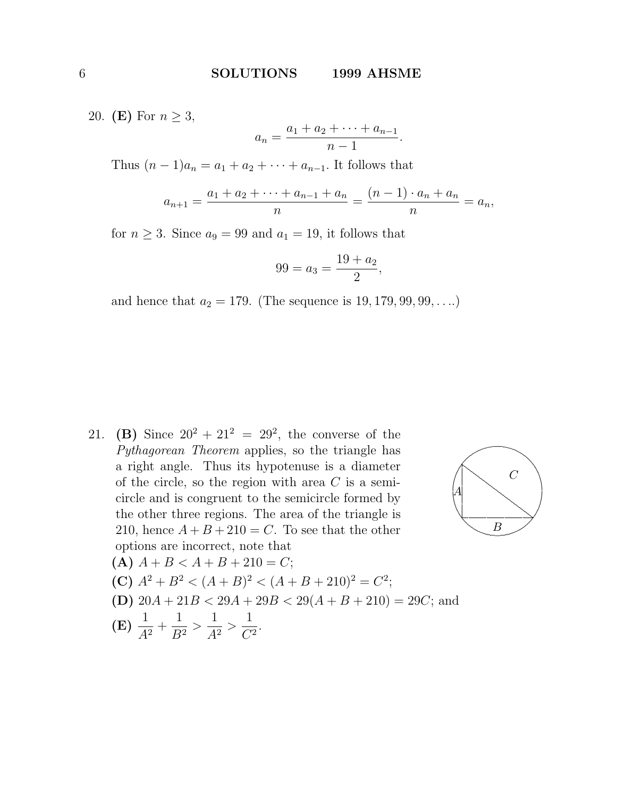20. (E) For  $n \geq 3$ ,

$$
a_n = \frac{a_1 + a_2 + \dots + a_{n-1}}{n-1}.
$$

Thus  $(n - 1)a_n = a_1 + a_2 + \cdots + a_{n-1}$ . It follows that

$$
a_{n+1} = \frac{a_1 + a_2 + \dots + a_{n-1} + a_n}{n} = \frac{(n-1) \cdot a_n + a_n}{n} = a_n,
$$

for  $n \geq 3$ . Since  $a_9 = 99$  and  $a_1 = 19$ , it follows that

$$
99 = a_3 = \frac{19 + a_2}{2},
$$

and hence that  $a_2 = 179$ . (The sequence is  $19, 179, 99, 99, \ldots$ )

21. (B) Since  $20^2 + 21^2 = 29^2$ , the converse of the *Pythagorean Theorem* applies, so the triangle has a right angle. Thus its hypotenuse is a diameter of the circle, so the region with area  $C$  is a semicircle and is congruent to the semicircle formed by the other three regions. The area of the triangle is 210, hence  $A + B + 210 = C$ . To see that the other options are incorrect, note that



$$
(A) A + B < A + B + 210 = C;
$$

(C) 
$$
A^2 + B^2 < (A + B)^2 < (A + B + 210)^2 = C^2
$$
;

(D)  $20A + 21B < 29A + 29B < 29(A + B + 210) = 29C$ ; and

(E) 
$$
\frac{1}{A^2} + \frac{1}{B^2} > \frac{1}{A^2} > \frac{1}{C^2}
$$
.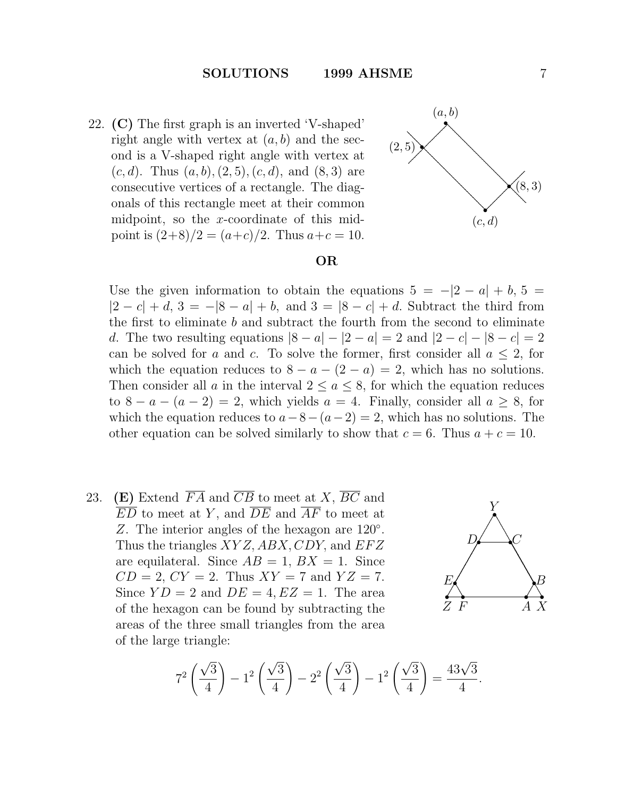22. (C) The first graph is an inverted 'V-shaped' right angle with vertex at  $(a, b)$  and the second is a V-shaped right angle with vertex at  $(c, d)$ . Thus  $(a, b), (2, 5), (c, d),$  and  $(8, 3)$  are consecutive vertices of a rectangle. The diagonals of this rectangle meet at their common midpoint, so the x-coordinate of this midpoint is  $(2+8)/2 = (a+c)/2$ . Thus  $a+c = 10$ .



## OR

Use the given information to obtain the equations  $5 = -|2 - a| + b$ ,  $5 =$  $|2 - c| + d$ ,  $3 = -|8 - a| + b$ , and  $3 = |8 - c| + d$ . Subtract the third from the first to eliminate  $b$  and subtract the fourth from the second to eliminate d. The two resulting equations  $|8 - a| - |2 - a| = 2$  and  $|2 - c| - |8 - c| = 2$ can be solved for a and c. To solve the former, first consider all  $a \leq 2$ , for which the equation reduces to  $8 - a - (2 - a) = 2$ , which has no solutions. Then consider all a in the interval  $2 \le a \le 8$ , for which the equation reduces to  $8 - a - (a - 2) = 2$ , which yields  $a = 4$ . Finally, consider all  $a \geq 8$ , for which the equation reduces to  $a-8-(a-2)=2$ , which has no solutions. The other equation can be solved similarly to show that  $c = 6$ . Thus  $a + c = 10$ .

23. (E) Extend  $\overline{FA}$  and  $\overline{CB}$  to meet at X,  $\overline{BC}$  and  $\overline{ED}$  to meet at Y, and  $\overline{DE}$  and  $\overline{AF}$  to meet at Z. The interior angles of the hexagon are 120°. Thus the triangles  $XYZ$ ,  $ABX$ ,  $CDY$ , and  $EFZ$ are equilateral. Since  $AB = 1$ ,  $BX = 1$ . Since  $CD = 2$ ,  $CY = 2$ . Thus  $XY = 7$  and  $YZ = 7$ . Since  $YD = 2$  and  $DE = 4, EZ = 1$ . The area of the hexagon can be found by subtracting the areas of the three small triangles from the area of the large triangle:



$$
7^{2} \left(\frac{\sqrt{3}}{4}\right) - 1^{2} \left(\frac{\sqrt{3}}{4}\right) - 2^{2} \left(\frac{\sqrt{3}}{4}\right) - 1^{2} \left(\frac{\sqrt{3}}{4}\right) = \frac{43\sqrt{3}}{4}.
$$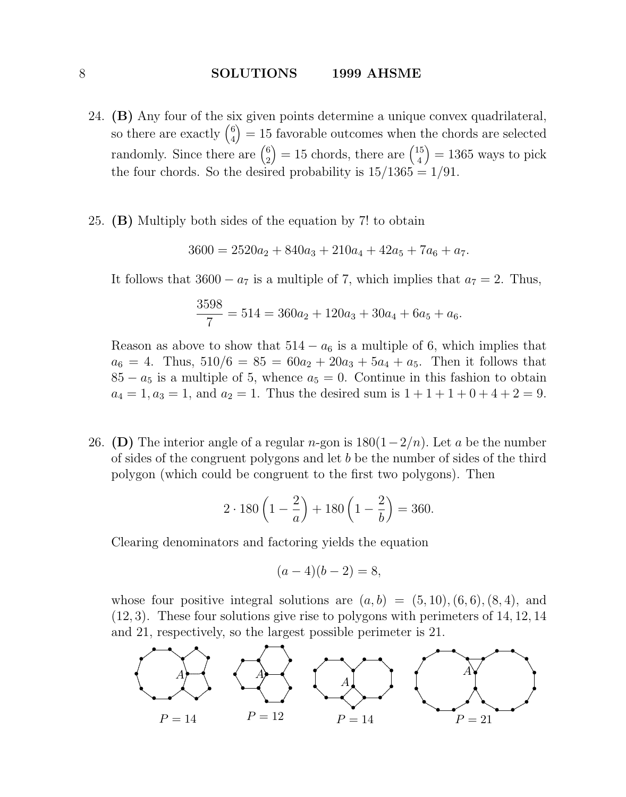- 24. (B) Any four of the six given points determine a unique convex quadrilateral, so there are exactly  $\binom{6}{4}$  $\binom{6}{4}$  = 15 favorable outcomes when the chords are selected randomly. Since there are  $\binom{6}{2}$  $\binom{6}{2} = 15$  chords, there are  $\binom{15}{4}$  $\binom{15}{4} = 1365$  ways to pick the four chords. So the desired probability is  $15/1365 = 1/91$ .
- 25. (B) Multiply both sides of the equation by 7! to obtain

$$
3600 = 2520a_2 + 840a_3 + 210a_4 + 42a_5 + 7a_6 + a_7.
$$

It follows that  $3600 - a_7$  is a multiple of 7, which implies that  $a_7 = 2$ . Thus,

$$
\frac{3598}{7} = 514 = 360a_2 + 120a_3 + 30a_4 + 6a_5 + a_6.
$$

Reason as above to show that  $514 - a_6$  is a multiple of 6, which implies that  $a_6 = 4$ . Thus,  $510/6 = 85 = 60a_2 + 20a_3 + 5a_4 + a_5$ . Then it follows that  $85 - a_5$  is a multiple of 5, whence  $a_5 = 0$ . Continue in this fashion to obtain  $a_4 = 1, a_3 = 1$ , and  $a_2 = 1$ . Thus the desired sum is  $1 + 1 + 1 + 0 + 4 + 2 = 9$ .

26. (D) The interior angle of a regular n-gon is  $180(1-2/n)$ . Let a be the number of sides of the congruent polygons and let  $b$  be the number of sides of the third polygon (which could be congruent to the first two polygons). Then

$$
2 \cdot 180 \left( 1 - \frac{2}{a} \right) + 180 \left( 1 - \frac{2}{b} \right) = 360.
$$

Clearing denominators and factoring yields the equation

$$
(a-4)(b-2) = 8,
$$

whose four positive integral solutions are  $(a, b) = (5, 10), (6, 6), (8, 4),$  and (12, 3). These four solutions give rise to polygons with perimeters of 14, 12, 14 and 21, respectively, so the largest possible perimeter is 21.

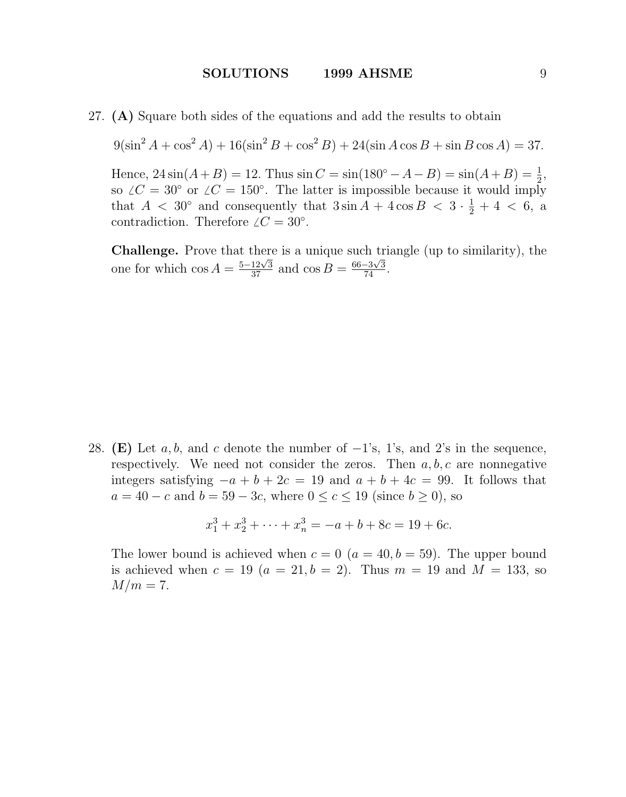27. (A) Square both sides of the equations and add the results to obtain

 $9(\sin^2 A + \cos^2 A) + 16(\sin^2 B + \cos^2 B) + 24(\sin A \cos B + \sin B \cos A) = 37.$ 

Hence,  $24\sin(A+B) = 12$ . Thus  $\sin C = \sin(180^\circ - A - B) = \sin(A+B) = \frac{1}{2}$ , so  $\angle C = 30^{\circ}$  or  $\angle C = 150^{\circ}$ . The latter is impossible because it would imply that  $A < 30^{\circ}$  and consequently that  $3\sin A + 4\cos B < 3 \cdot \frac{1}{2} + 4 < 6$ , a contradiction. Therefore  $\angle C = 30^{\circ}$ .

**Challenge.** Prove that there is a unique such triangle (up to similarity), the **Change:** Those that there is a unique such that one for which  $\cos A = \frac{5-12\sqrt{3}}{37}$  and  $\cos B = \frac{66-3\sqrt{3}}{74}$ .

28. (E) Let a, b, and c denote the number of  $-1$ 's, 1's, and 2's in the sequence, respectively. We need not consider the zeros. Then  $a, b, c$  are nonnegative integers satisfying  $-a + b + 2c = 19$  and  $a + b + 4c = 99$ . It follows that  $a = 40 - c$  and  $b = 59 - 3c$ , where  $0 \le c \le 19$  (since  $b \ge 0$ ), so

$$
x_1^3 + x_2^3 + \dots + x_n^3 = -a + b + 8c = 19 + 6c.
$$

The lower bound is achieved when  $c = 0$  ( $a = 40, b = 59$ ). The upper bound is achieved when  $c = 19$   $(a = 21, b = 2)$ . Thus  $m = 19$  and  $M = 133$ , so  $M/m=7$ .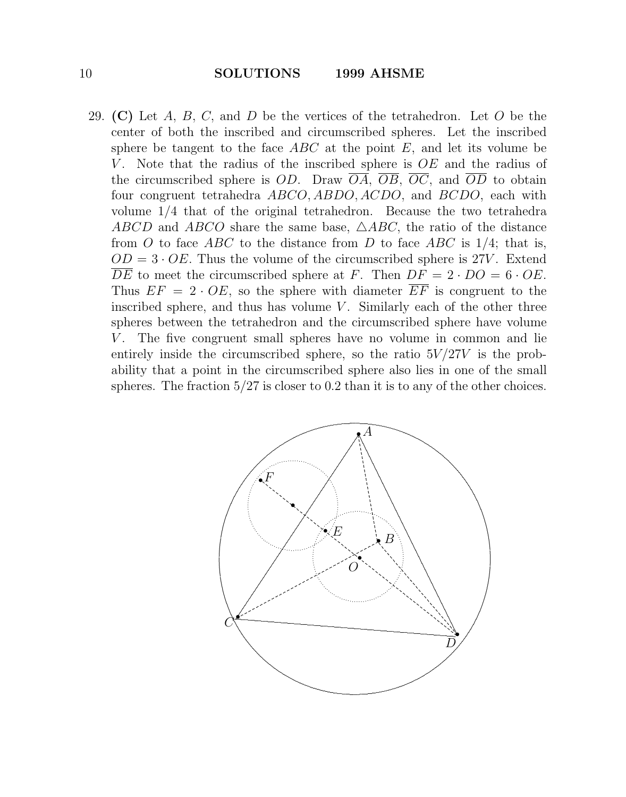29. (C) Let  $A, B, C$ , and  $D$  be the vertices of the tetrahedron. Let  $O$  be the center of both the inscribed and circumscribed spheres. Let the inscribed sphere be tangent to the face  $ABC$  at the point E, and let its volume be V. Note that the radius of the inscribed sphere is  $OE$  and the radius of the circumscribed sphere is OD. Draw  $\overline{OA}$ ,  $\overline{OB}$ ,  $\overline{OC}$ , and  $\overline{OD}$  to obtain four congruent tetrahedra ABCO, ABDO, ACDO, and BCDO, each with volume 1/4 that of the original tetrahedron. Because the two tetrahedra ABCD and ABCO share the same base,  $\triangle ABC$ , the ratio of the distance from O to face ABC to the distance from D to face ABC is  $1/4$ ; that is,  $OD = 3 \cdot OE$ . Thus the volume of the circumscribed sphere is 27V. Extend  $\overline{DE}$  to meet the circumscribed sphere at F. Then  $DF = 2 \cdot DO = 6 \cdot OE$ . Thus  $EF = 2 \cdot OE$ , so the sphere with diameter  $\overline{EF}$  is congruent to the inscribed sphere, and thus has volume  $V$ . Similarly each of the other three spheres between the tetrahedron and the circumscribed sphere have volume V. The five congruent small spheres have no volume in common and lie entirely inside the circumscribed sphere, so the ratio  $5V/27V$  is the probability that a point in the circumscribed sphere also lies in one of the small spheres. The fraction  $5/27$  is closer to 0.2 than it is to any of the other choices.